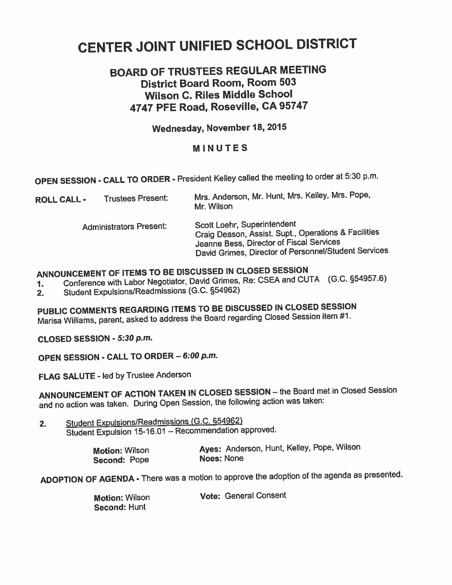# CENTER JOINT UNIFIED SCHOOL DISTRICT

## **BOARD OF TRUSTEES REGULAR MEETING District Board Room, Room 503 Wilson C. Riles Middle School 4747 PFE Road, Roseville, CA 95747**

### **Wednesday, November 18, 2015**

#### **MINUTES**

**OPEN SESSION** - **CALL TO ORDER** - President **Kelley** called the meeting to order at **330** p.m.

| <b>ROLL CALL -</b> | <b>Trustees Present:</b>       | Mrs. Anderson, Mr. Hunt, Mrs. Kelley, Mrs. Pope,<br>Mr. Wilson                                                                                                                          |
|--------------------|--------------------------------|-----------------------------------------------------------------------------------------------------------------------------------------------------------------------------------------|
|                    | <b>Administrators Present:</b> | Scott Loehr, Superintendent<br>Craig Deason, Assist. Supt., Operations & Facilities<br>Jeanne Bess, Director of Fiscal Services<br>David Grimes, Director of Personnel/Student Services |

## **ANNOUNCEMENT OF ITEMS TO BE DISCUSSED IN CLOSED SESSION**

**1.** Conference with Labor Negotiator, David Grimes, Re: **CSEA** and CUTA (G.C. **554957.6)** 

2. Student Expulsions/Readmissions (G.C. 954962)

**PUBLIC COMMENTS REGARDING ITEMS TO BE DISCUSSED IN CLOSED SESSION**  Marisa Williams, parent, asked to address the Board regarding Closed Session item #I.

**CLOSED SESSION** - **5:30** *p.m.* 

**OPEN SESSION** - **CALL TO ORDER** - **6:00 p.m.** 

**FLAG SALUTE** - led **by** Trustee Anderson

**ANNOUNCEMENT OF ACTION TAKEN IN CLOSED SESSION** - **the** Board met in Closed Session and no action was taken. During Open Session, the following action was taken:

2. Student Expulsions/Readmissions (G.C. §54962) Student Expulsion 15-16.01 - Recommendation approved.

| <b>Motion: Wilson</b> | Ayes: Anderson, Hunt, Kelley, Pope, Wilson |
|-----------------------|--------------------------------------------|
| Second: Pope          | <b>Noes: None</b>                          |

**ADOPTION OF AGENDA** - There was a motion to approve the adoption of the agenda as presented.

Motion: Wilson Second: Hunt

Vote: General Consent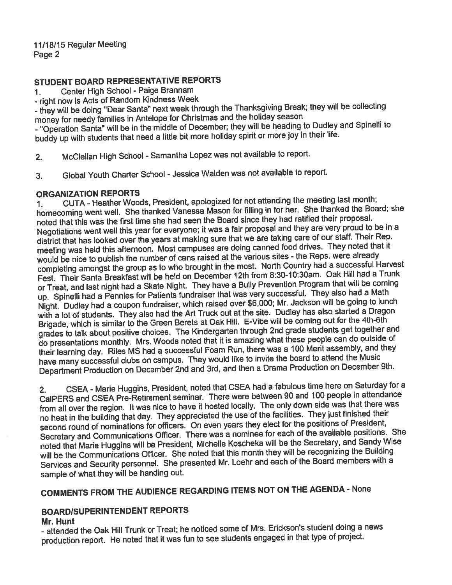#### **STUDENT BOARD REPRESENTATIVE REPORTS**

**1.** Center High School - Paige Brannam

- right now is Acts of Random Kindness Week

- they will be doing "Dear Santa" next week through the Thanksgiving Break; they will be collecting money for needy families in Antelope for Christmas and the holiday season

- "Operation Santa" will be in the middle of December; they will be heading to Dudley and Spinelli to buddy up with students that need a little bit more holiday spirit or more joy in their life.

2, McClellan High School - Samantha Lopez was not available to report.

**3.** Global Youth Charter School - Jessica Walden was not available to report.

#### **ORGANIZATION REPORTS**

1. CUTA - Heather Woods, President, apologized for not attending the meeting last month; homecoming went well. She thanked Vanessa Mason for filling in for her. She thanked the Board; she noted that this was the first time she had seen the Board since they had ratified their proposal. Negotiations went well this year for everyone; it was a fair proposal and they are very proud to be in a district that has looked over the years at making sure that we are taking care of our staff. Their Rep. meeting was held this afternoon. Most campuses are doing canned food drives. They noted that it would be nice to publish the number of cans raised at the various sites - the Reps. were already completing amongst the group as to who brought in the most. North Country had a successful Harvest Fest. Their Santa Breakfast will be held on December 12th from 8:30-10:30am. Oak Hill had a Trunk or Treat, and last night had a Skate Night. They have a Bully Prevention Program that will be coming up. Spinelli had a Pennies for Patients fundraiser that was very successful. They also had a Math Night. Dudley had a coupon fundraiser, which raised over \$6,000; Mr. Jackson will be going to lunch with a lot of students. They also had the Art Truck out at the site. Dudley has also started a Dragon Brigade, which is similar to the Green Berets at Oak Hill. E-Vibe will be coming out for the 4th-6th grades to talk about positive choices. The Kindergarten through 2nd grade students get together and do presentations monthly. Mrs. Woods noted that it is amazing what these people can do outside of their learning day. Riles MS had a successful Foam Run, there was a 100 Merit assembly, and they have many successful clubs on campus. They would like to invite the board to attend the Music Department Production on December 2nd and 3rd. and then a Drama Production on December 9th.

2. **CSEA** - Marie Huggins, President, noted that CSEA had a fabulous time here on Saturday for a CalPERS and CSEA Pre-Retirement seminar. There were between 90 and 100 people in attendance from all over the region. It was nice to have it hosted locally. The only down side was that there was no heat in the building that day. They appreciated the use of the facilities. They just finished their second round of nominations for officers. On even years they elect for the positions of President, Secretary and Communications Officer. There was a nominee for each of the available positions. She noted that Marie Huggins will be President, Michelle Koscheka will be the Secretary, and Sandy Wise will be the Communications Officer. She noted that this month they will be recognizing the Building Services and Security personnel. She presented Mr. Loehr and each of the Board members with a sample of what they will be handing out.

## **COMMENTS FROM THE AUDIENCE REGARDING ITEMS NOT ON THE AGENDA** - None

#### **BOARDlSUPERlNTENDENT REPORTS**

#### **Mr. Hunt**

- attended the Oak Hill Trunk or Treat; he noticed some of Mrs. Erickson's student doing a news production report. He noted that it was fun to see students engaged in that type of project.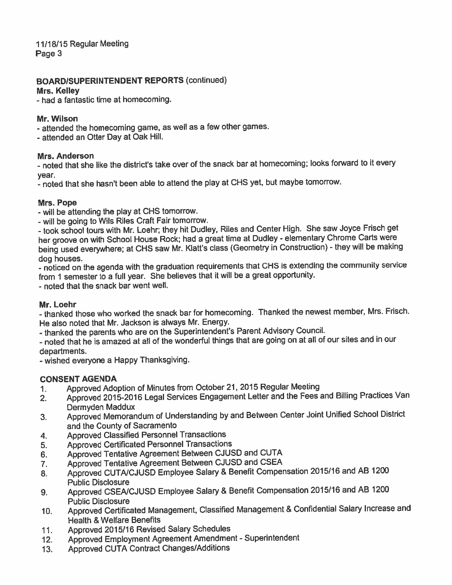1 1/18/15 Regular Meeting Page 3

#### **BOARDISUPERINTENDENT** REPORTS (continued)

#### Mrs. **Kelley**

- had a fantastic time at homecoming.

#### Mr. Wilson

- attended the homecoming game, as well as a few other games.

- attended an Otter Day at Oak Hill.

#### Mrs. Anderson

- noted that she like the district's take over of the snack bar at homecoming; looks foward to it every year.

- noted that she hasn't been able to attend the play at CHS yet, but maybe tomorrow.

#### Mrs. Pope

- will be attending the play at CHS tomorrow.

- will be going to Wils Riles Craft Fair tomorrow.

- took school tours with Mr. Loehr; they hit Dudley, Riles and Center High. She saw Joyce Frisch get her groove on with School House Rock; had a great time at Dudley - elementary Chrome Carts were being used everywhere; at CHS saw Mr. Klatt's class (Geometry in Construction) - they will be making dog houses.

- noticed on the agenda with the graduation requirements that CHS is extending the community service from 1 semester to a full year. She believes that it will be a great opportunity.

- noted that the snack bar went well.

#### Mr. Loehr

- thanked those who worked the snack bar for homecoming. Thanked the newest member, **Mrs.** Frisch. He also noted that Mr. Jackson is always Mr. Energy.

- thanked the parents who are on the Superintendent's Parent Advisory Council.

- noted that he is amazed at all of the wonderful things that are going on at all of our sites and in our departments.

- wished everyone a Happy Thanksgiving.

#### CONSENT AGENDA

- 1. Approved Adoption of Minutes from October 21, 2015 Regular Meeting
- **2.** Approved 2015-2016 Legal Services Engagement Letter and the Fees and Billing Practices Van Dermyden Maddux
- **3.** Approved Memorandum of Understanding by and Between Center Joint Unified School District and the County of Sacramento
- 4. Approved Classified Personnel Transactions
- 5. Approved Certificated Personnel Transactions
- 6. Approved Tentative Agreement Between CJUSO and CUTA
- **7.** Approved Tentative Agreement Between **CJUSD** and CSEA
- 8. Approved CUTA/CJUSD Employee Salary & Benefit Compensation 2015/16 and AB 1200 Public Disclosure
- **9.** Approved CSENCJUSD Employee Salary & Benefit Compensation 2015116 and **A8** 1200 Public Disclosure
- **10.** Approved Certificated Management, Classified Management & Confidential Salary Increase and Health & Welfare Benefits
- 11. Approved 2015/16 Revised Salary Schedules
- 12. Approved Employment Agreement Amendment Superintendent
- 13. Approved CUTA Contract Changes/Additions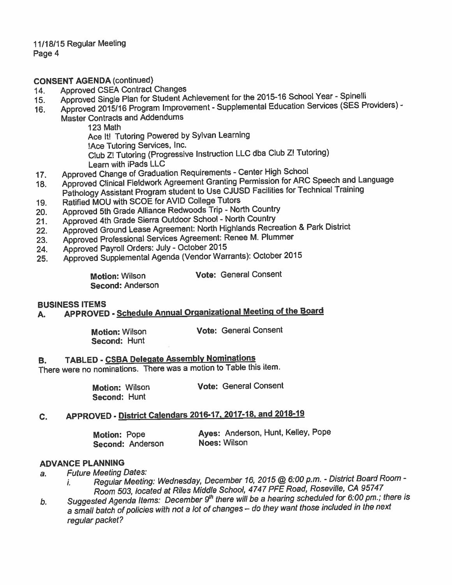11/18/15 Regular Meeting Page 4

**CONSENT AGENDA** (continued)

- **14.** Approved CSEA Contract Changes
- 15. Approved Single Plan for Student Achievement for the 2015-16 School Year Spinelli
- 16. Approved 2015/16 Program Improvement Supplemental Education Services (SES Providers) -
- Master Contracts and Addendurns

123 Math

Ace It! Tutoring Powered by Sylvan Learning

!Ace Tutoring Services, Inc.

Club Zl Tutoring (Progressive Instruction LLC dba Club **Z!** Tutoring) Learn with iPads **LLC** 

- 17. Approved Change of Graduation Requirements Center High School
- **18.** Approved Clinical Fieldwork Agreement Granting Permission for ARC Speech and Language Pathology Assistant Program student to Use CJUSD Facilities for Technical Training
- **19.** Ratified **MOU** with SCOE for AVID **College** Tutors
- **20.** Approved 5th Grade Alliance Redwoods Trip North Country
- 21. Approved 4th Grade Sierra Outdoor School North Country
- **22.** Approved Ground Lease Agreement: North Highlands Recreation & Park District
- **23.** Approved Professional Services Agreement: Renee M. Plummer
- 24. Approved Payroll Orders: July October 2015
- 25. **Approved Supplemental Agenda (Vendor Warrants): October 2015**

**Second:** Anderson

**Motion:** Wilson **Vote:** General Consent

#### **BUSINESS** ITEMS

**A. APPROVED** - **Schedule Annual Orqanizational Meetinq of the Board** 

**Second:** Hunt

**Motion:** Wilson **Vote:** General Consent

**8.** TABLED - CSBA Delegate Assembly Nominations

There were no nominations. There was a motion to Table this item.

**Motion:** Wilson **Vote:** General Consent **Second:** Hunt

### **C.** APPROVED - **District Calendars 2016-17, 2017-18, and 2018-19**

| <b>Motion: Pope</b> | Ayes: Anderson, Hunt, Kelley, Pope |
|---------------------|------------------------------------|
| Second: Anderson    | <b>Noes: Wilson</b>                |

#### **ADVANCE PLANNING**

**a. Future Meeting Dates:** 

- **1. Regular Meeting: Wednesday, December 16, 2015** @ **6:00** *p.m.*  **District Board Room**  Room **503, located at Riles Middle School, 4747 PFE Road, Roseville, CA 95747**
- *b.* **Suggesfed Agenda Items:** *December gh* **there will be a hearing scheduled for 6-00 pm.; there is**  a small batch of policies with not a lot of changes - do they want those included in the next **regular packet** ?